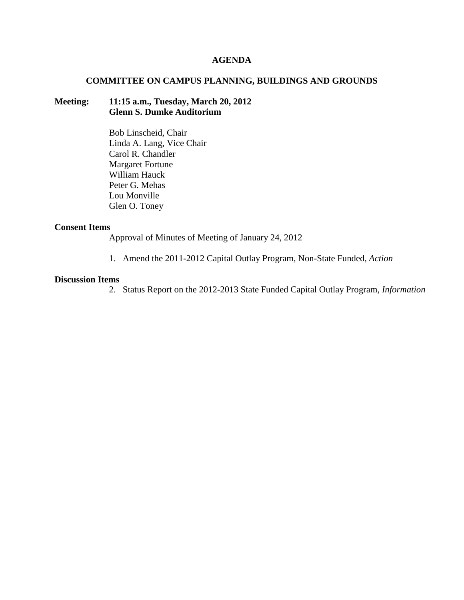## **AGENDA**

# **COMMITTEE ON CAMPUS PLANNING, BUILDINGS AND GROUNDS**

# **Meeting: 11:15 a.m., Tuesday, March 20, 2012 Glenn S. Dumke Auditorium**

Bob Linscheid, Chair Linda A. Lang, Vice Chair Carol R. Chandler Margaret Fortune William Hauck Peter G. Mehas Lou Monville Glen O. Toney

#### **Consent Items**

Approval of Minutes of Meeting of January 24, 2012

1. Amend the 2011-2012 Capital Outlay Program, Non-State Funded, *Action*

## **Discussion Items**

2. Status Report on the 2012-2013 State Funded Capital Outlay Program, *Information*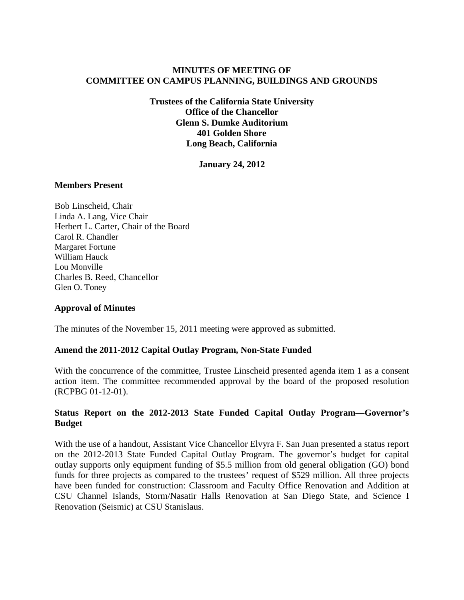# **MINUTES OF MEETING OF COMMITTEE ON CAMPUS PLANNING, BUILDINGS AND GROUNDS**

**Trustees of the California State University Office of the Chancellor Glenn S. Dumke Auditorium 401 Golden Shore Long Beach, California**

**January 24, 2012**

#### **Members Present**

Bob Linscheid, Chair Linda A. Lang, Vice Chair Herbert L. Carter, Chair of the Board Carol R. Chandler Margaret Fortune William Hauck Lou Monville Charles B. Reed, Chancellor Glen O. Toney

## **Approval of Minutes**

The minutes of the November 15, 2011 meeting were approved as submitted.

## **Amend the 2011-2012 Capital Outlay Program, Non-State Funded**

With the concurrence of the committee, Trustee Linscheid presented agenda item 1 as a consent action item. The committee recommended approval by the board of the proposed resolution (RCPBG 01-12-01).

# **Status Report on the 2012-2013 State Funded Capital Outlay Program—Governor's Budget**

With the use of a handout, Assistant Vice Chancellor Elvyra F. San Juan presented a status report on the 2012-2013 State Funded Capital Outlay Program. The governor's budget for capital outlay supports only equipment funding of \$5.5 million from old general obligation (GO) bond funds for three projects as compared to the trustees' request of \$529 million. All three projects have been funded for construction: Classroom and Faculty Office Renovation and Addition at CSU Channel Islands, Storm/Nasatir Halls Renovation at San Diego State, and Science I Renovation (Seismic) at CSU Stanislaus.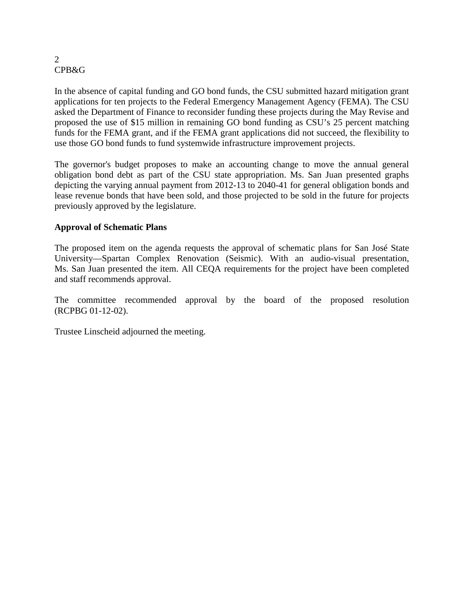#### 2 CPB&G

In the absence of capital funding and GO bond funds, the CSU submitted hazard mitigation grant applications for ten projects to the Federal Emergency Management Agency (FEMA). The CSU asked the Department of Finance to reconsider funding these projects during the May Revise and proposed the use of \$15 million in remaining GO bond funding as CSU's 25 percent matching funds for the FEMA grant, and if the FEMA grant applications did not succeed, the flexibility to use those GO bond funds to fund systemwide infrastructure improvement projects.

The governor's budget proposes to make an accounting change to move the annual general obligation bond debt as part of the CSU state appropriation. Ms. San Juan presented graphs depicting the varying annual payment from 2012-13 to 2040-41 for general obligation bonds and lease revenue bonds that have been sold, and those projected to be sold in the future for projects previously approved by the legislature.

# **Approval of Schematic Plans**

The proposed item on the agenda requests the approval of schematic plans for San José State University—Spartan Complex Renovation (Seismic). With an audio-visual presentation, Ms. San Juan presented the item. All CEQA requirements for the project have been completed and staff recommends approval.

The committee recommended approval by the board of the proposed resolution (RCPBG 01-12-02).

Trustee Linscheid adjourned the meeting.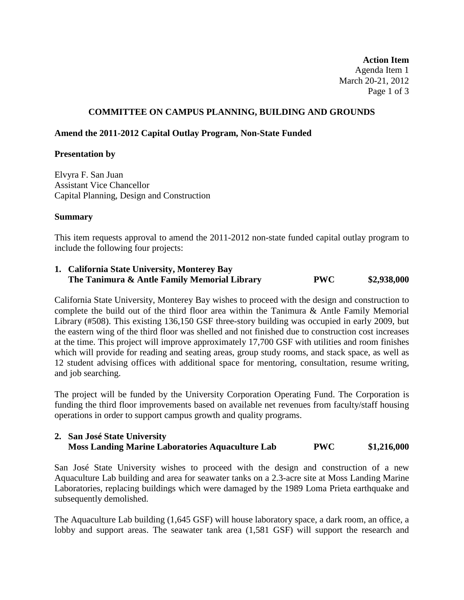**Action Item** Agenda Item 1 March 20-21, 2012 Page 1 of 3

## **COMMITTEE ON CAMPUS PLANNING, BUILDING AND GROUNDS**

## **Amend the 2011-2012 Capital Outlay Program, Non-State Funded**

## **Presentation by**

Elvyra F. San Juan Assistant Vice Chancellor Capital Planning, Design and Construction

## **Summary**

This item requests approval to amend the 2011-2012 non-state funded capital outlay program to include the following four projects:

## **1. California State University, Monterey Bay The Tanimura & Antle Family Memorial Library PWC \$2,938,000**

California State University, Monterey Bay wishes to proceed with the design and construction to complete the build out of the third floor area within the Tanimura & Antle Family Memorial Library (#508). This existing 136,150 GSF three-story building was occupied in early 2009, but the eastern wing of the third floor was shelled and not finished due to construction cost increases at the time. This project will improve approximately 17,700 GSF with utilities and room finishes which will provide for reading and seating areas, group study rooms, and stack space, as well as 12 student advising offices with additional space for mentoring, consultation, resume writing, and job searching.

The project will be funded by the University Corporation Operating Fund. The Corporation is funding the third floor improvements based on available net revenues from faculty/staff housing operations in order to support campus growth and quality programs.

# **2. San José State University Moss Landing Marine Laboratories Aquaculture Lab PWC \$1,216,000**

San José State University wishes to proceed with the design and construction of a new Aquaculture Lab building and area for seawater tanks on a 2.3-acre site at Moss Landing Marine Laboratories, replacing buildings which were damaged by the 1989 Loma Prieta earthquake and subsequently demolished.

The Aquaculture Lab building (1,645 GSF) will house laboratory space, a dark room, an office, a lobby and support areas. The seawater tank area (1,581 GSF) will support the research and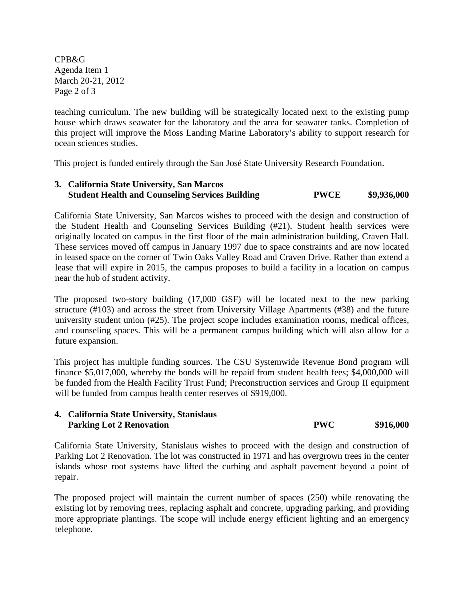CPB&G Agenda Item 1 March 20-21, 2012 Page 2 of 3

teaching curriculum. The new building will be strategically located next to the existing pump house which draws seawater for the laboratory and the area for seawater tanks. Completion of this project will improve the Moss Landing Marine Laboratory's ability to support research for ocean sciences studies.

This project is funded entirely through the San José State University Research Foundation.

## **3. California State University, San Marcos Student Health and Counseling Services Building PWCE \$9,936,000**

California State University, San Marcos wishes to proceed with the design and construction of the Student Health and Counseling Services Building (#21). Student health services were originally located on campus in the first floor of the main administration building, Craven Hall. These services moved off campus in January 1997 due to space constraints and are now located in leased space on the corner of Twin Oaks Valley Road and Craven Drive. Rather than extend a lease that will expire in 2015, the campus proposes to build a facility in a location on campus near the hub of student activity.

The proposed two-story building (17,000 GSF) will be located next to the new parking structure (#103) and across the street from University Village Apartments (#38) and the future university student union (#25). The project scope includes examination rooms, medical offices, and counseling spaces. This will be a permanent campus building which will also allow for a future expansion.

This project has multiple funding sources. The CSU Systemwide Revenue Bond program will finance \$5,017,000, whereby the bonds will be repaid from student health fees; \$4,000,000 will be funded from the Health Facility Trust Fund; Preconstruction services and Group II equipment will be funded from campus health center reserves of \$919,000.

# **4. California State University, Stanislaus Parking Lot 2 Renovation PWC** \$916,000

California State University, Stanislaus wishes to proceed with the design and construction of Parking Lot 2 Renovation. The lot was constructed in 1971 and has overgrown trees in the center islands whose root systems have lifted the curbing and asphalt pavement beyond a point of repair.

The proposed project will maintain the current number of spaces (250) while renovating the existing lot by removing trees, replacing asphalt and concrete, upgrading parking, and providing more appropriate plantings. The scope will include energy efficient lighting and an emergency telephone.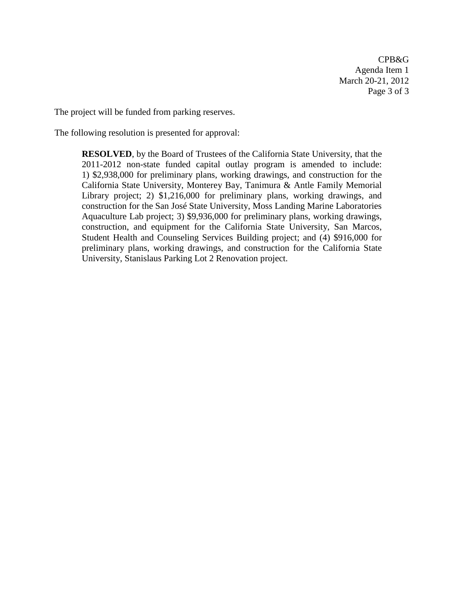CPB&G Agenda Item 1 March 20-21, 2012 Page 3 of 3

The project will be funded from parking reserves.

The following resolution is presented for approval:

**RESOLVED**, by the Board of Trustees of the California State University, that the 2011-2012 non-state funded capital outlay program is amended to include: 1) \$2,938,000 for preliminary plans, working drawings, and construction for the California State University, Monterey Bay, Tanimura & Antle Family Memorial Library project; 2) \$1,216,000 for preliminary plans, working drawings, and construction for the San José State University, Moss Landing Marine Laboratories Aquaculture Lab project; 3) \$9,936,000 for preliminary plans, working drawings, construction, and equipment for the California State University, San Marcos, Student Health and Counseling Services Building project; and (4) \$916,000 for preliminary plans, working drawings, and construction for the California State University, Stanislaus Parking Lot 2 Renovation project.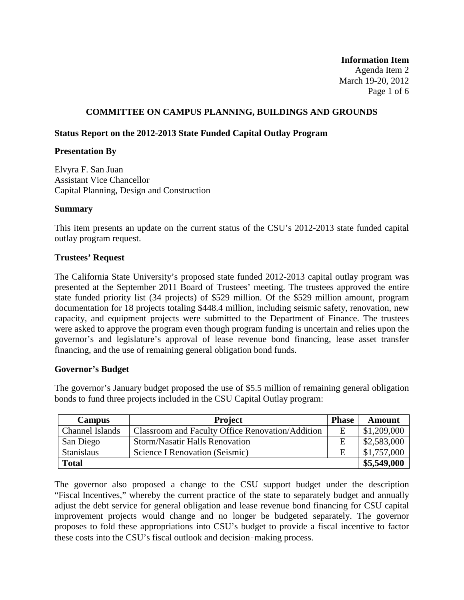**Information Item** Agenda Item 2 March 19-20, 2012 Page 1 of 6

# **COMMITTEE ON CAMPUS PLANNING, BUILDINGS AND GROUNDS**

## **Status Report on the 2012-2013 State Funded Capital Outlay Program**

#### **Presentation By**

Elvyra F. San Juan Assistant Vice Chancellor Capital Planning, Design and Construction

#### **Summary**

This item presents an update on the current status of the CSU's 2012-2013 state funded capital outlay program request.

#### **Trustees' Request**

The California State University's proposed state funded 2012-2013 capital outlay program was presented at the September 2011 Board of Trustees' meeting. The trustees approved the entire state funded priority list (34 projects) of \$529 million. Of the \$529 million amount, program documentation for 18 projects totaling \$448.4 million, including seismic safety, renovation, new capacity, and equipment projects were submitted to the Department of Finance. The trustees were asked to approve the program even though program funding is uncertain and relies upon the governor's and legislature's approval of lease revenue bond financing, lease asset transfer financing, and the use of remaining general obligation bond funds.

## **Governor's Budget**

The governor's January budget proposed the use of \$5.5 million of remaining general obligation bonds to fund three projects included in the CSU Capital Outlay program:

| <b>Campus</b>     | <b>Project</b>                                   | <b>Phase</b> | Amount      |
|-------------------|--------------------------------------------------|--------------|-------------|
| Channel Islands   | Classroom and Faculty Office Renovation/Addition | Ε            | \$1,209,000 |
| San Diego         | <b>Storm/Nasatir Halls Renovation</b>            | Ε            | \$2,583,000 |
| <b>Stanislaus</b> | Science I Renovation (Seismic)                   | Ε            | \$1,757,000 |
| <b>Total</b>      |                                                  |              | \$5,549,000 |

The governor also proposed a change to the CSU support budget under the description "Fiscal Incentives," whereby the current practice of the state to separately budget and annually adjust the debt service for general obligation and lease revenue bond financing for CSU capital improvement projects would change and no longer be budgeted separately. The governor proposes to fold these appropriations into CSU's budget to provide a fiscal incentive to factor these costs into the CSU's fiscal outlook and decision‑making process.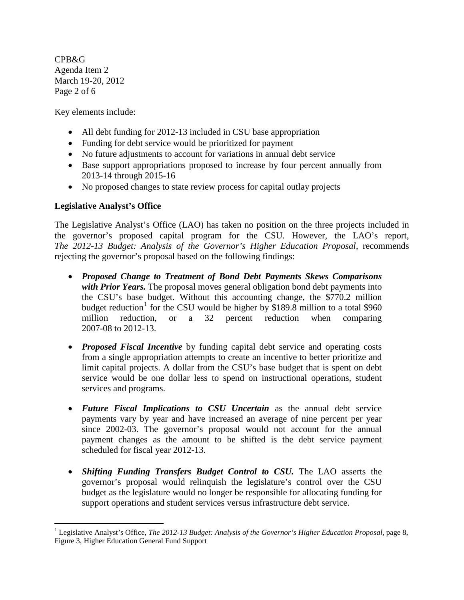CPB&G Agenda Item 2 March 19-20, 2012 Page 2 of 6

Key elements include:

- All debt funding for 2012-13 included in CSU base appropriation
- Funding for debt service would be prioritized for payment
- No future adjustments to account for variations in annual debt service
- Base support appropriations proposed to increase by four percent annually from 2013-14 through 2015-16
- No proposed changes to state review process for capital outlay projects

# **Legislative Analyst's Office**

The Legislative Analyst's Office (LAO) has taken no position on the three projects included in the governor's proposed capital program for the CSU. However, the LAO's report, *The 2012-13 Budget: Analysis of the Governor's Higher Education Proposal,* recommends rejecting the governor's proposal based on the following findings:

- *Proposed Change to Treatment of Bond Debt Payments Skews Comparisons with Prior Years.* The proposal moves general obligation bond debt payments into the CSU's base budget. Without this accounting change, the \$770.2 million budget reduction<sup>[1](#page-7-0)</sup> for the CSU would be higher by \$189.8 million to a total \$960 million reduction, or a 32 percent reduction when comparing 2007-08 to 2012-13.
- *Proposed Fiscal Incentive* by funding capital debt service and operating costs from a single appropriation attempts to create an incentive to better prioritize and limit capital projects. A dollar from the CSU's base budget that is spent on debt service would be one dollar less to spend on instructional operations, student services and programs.
- *Future Fiscal Implications to CSU Uncertain* as the annual debt service payments vary by year and have increased an average of nine percent per year since 2002-03. The governor's proposal would not account for the annual payment changes as the amount to be shifted is the debt service payment scheduled for fiscal year 2012-13.
- *Shifting Funding Transfers Budget Control to CSU.* The LAO asserts the governor's proposal would relinquish the legislature's control over the CSU budget as the legislature would no longer be responsible for allocating funding for support operations and student services versus infrastructure debt service.

<span id="page-7-0"></span><sup>&</sup>lt;sup>1</sup> Legislative Analyst's Office, *The 2012-13 Budget: Analysis of the Governor's Higher Education Proposal, page 8,* Figure 3, Higher Education General Fund Support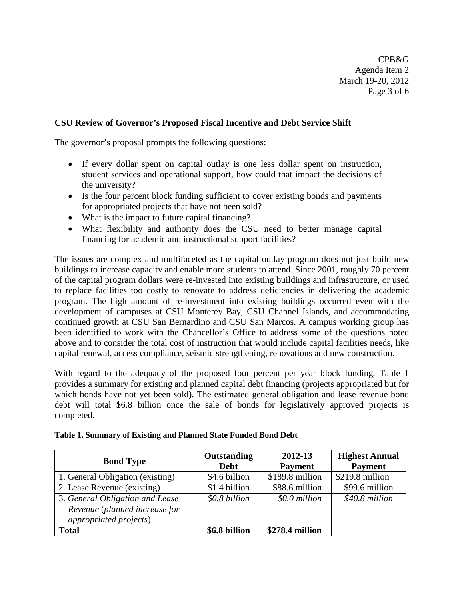CPB&G Agenda Item 2 March 19-20, 2012 Page 3 of 6

# **CSU Review of Governor's Proposed Fiscal Incentive and Debt Service Shift**

The governor's proposal prompts the following questions:

- If every dollar spent on capital outlay is one less dollar spent on instruction, student services and operational support, how could that impact the decisions of the university?
- Is the four percent block funding sufficient to cover existing bonds and payments for appropriated projects that have not been sold?
- What is the impact to future capital financing?
- What flexibility and authority does the CSU need to better manage capital financing for academic and instructional support facilities?

The issues are complex and multifaceted as the capital outlay program does not just build new buildings to increase capacity and enable more students to attend. Since 2001, roughly 70 percent of the capital program dollars were re-invested into existing buildings and infrastructure, or used to replace facilities too costly to renovate to address deficiencies in delivering the academic program. The high amount of re-investment into existing buildings occurred even with the development of campuses at CSU Monterey Bay, CSU Channel Islands, and accommodating continued growth at CSU San Bernardino and CSU San Marcos. A campus working group has been identified to work with the Chancellor's Office to address some of the questions noted above and to consider the total cost of instruction that would include capital facilities needs, like capital renewal, access compliance, seismic strengthening, renovations and new construction.

With regard to the adequacy of the proposed four percent per year block funding, Table 1 provides a summary for existing and planned capital debt financing (projects appropriated but for which bonds have not yet been sold). The estimated general obligation and lease revenue bond debt will total \$6.8 billion once the sale of bonds for legislatively approved projects is completed.

| <b>Bond Type</b>                                                | <b>Outstanding</b><br><b>Debt</b> | 2012-13<br><b>Payment</b> | <b>Highest Annual</b><br><b>Payment</b> |
|-----------------------------------------------------------------|-----------------------------------|---------------------------|-----------------------------------------|
| 1. General Obligation (existing)                                | \$4.6 billion                     | \$189.8 million           | $$219.8$ million                        |
| 2. Lease Revenue (existing)                                     | \$1.4 billion                     | \$88.6 million            | \$99.6 million                          |
| 3. General Obligation and Lease                                 | \$0.8 billion                     | \$0.0 million             | \$40.8 million                          |
| Revenue (planned increase for<br><i>appropriated projects</i> ) |                                   |                           |                                         |
| <b>Total</b>                                                    | \$6.8 billion                     | \$278.4 million           |                                         |

|  | Table 1. Summary of Existing and Planned State Funded Bond Debt |  |  |
|--|-----------------------------------------------------------------|--|--|
|  |                                                                 |  |  |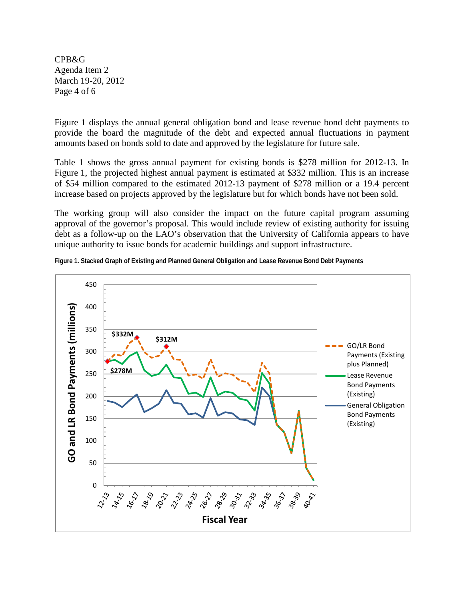CPB&G Agenda Item 2 March 19-20, 2012 Page 4 of 6

Figure 1 displays the annual general obligation bond and lease revenue bond debt payments to provide the board the magnitude of the debt and expected annual fluctuations in payment amounts based on bonds sold to date and approved by the legislature for future sale.

Table 1 shows the gross annual payment for existing bonds is \$278 million for 2012-13. In Figure 1, the projected highest annual payment is estimated at \$332 million. This is an increase of \$54 million compared to the estimated 2012-13 payment of \$278 million or a 19.4 percent increase based on projects approved by the legislature but for which bonds have not been sold.

The working group will also consider the impact on the future capital program assuming approval of the governor's proposal. This would include review of existing authority for issuing debt as a follow-up on the LAO's observation that the University of California appears to have unique authority to issue bonds for academic buildings and support infrastructure.



**Figure 1. Stacked Graph of Existing and Planned General Obligation and Lease Revenue Bond Debt Payments**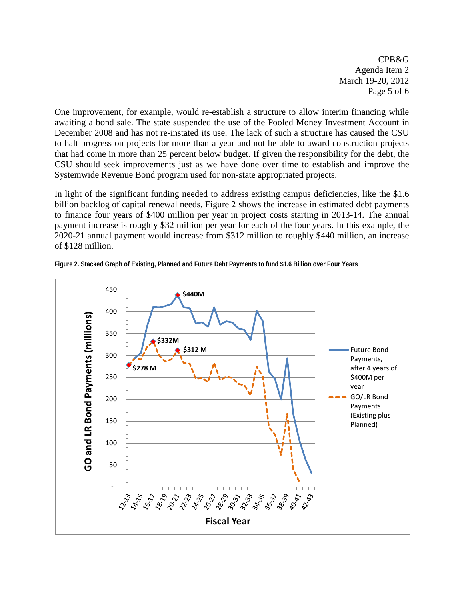CPB&G Agenda Item 2 March 19-20, 2012 Page 5 of 6

One improvement, for example, would re-establish a structure to allow interim financing while awaiting a bond sale. The state suspended the use of the Pooled Money Investment Account in December 2008 and has not re-instated its use. The lack of such a structure has caused the CSU to halt progress on projects for more than a year and not be able to award construction projects that had come in more than 25 percent below budget. If given the responsibility for the debt, the CSU should seek improvements just as we have done over time to establish and improve the Systemwide Revenue Bond program used for non-state appropriated projects.

In light of the significant funding needed to address existing campus deficiencies, like the \$1.6 billion backlog of capital renewal needs, Figure 2 shows the increase in estimated debt payments to finance four years of \$400 million per year in project costs starting in 2013-14. The annual payment increase is roughly \$32 million per year for each of the four years. In this example, the 2020-21 annual payment would increase from \$312 million to roughly \$440 million, an increase of \$128 million.



**Figure 2. Stacked Graph of Existing, Planned and Future Debt Payments to fund \$1.6 Billion over Four Years**